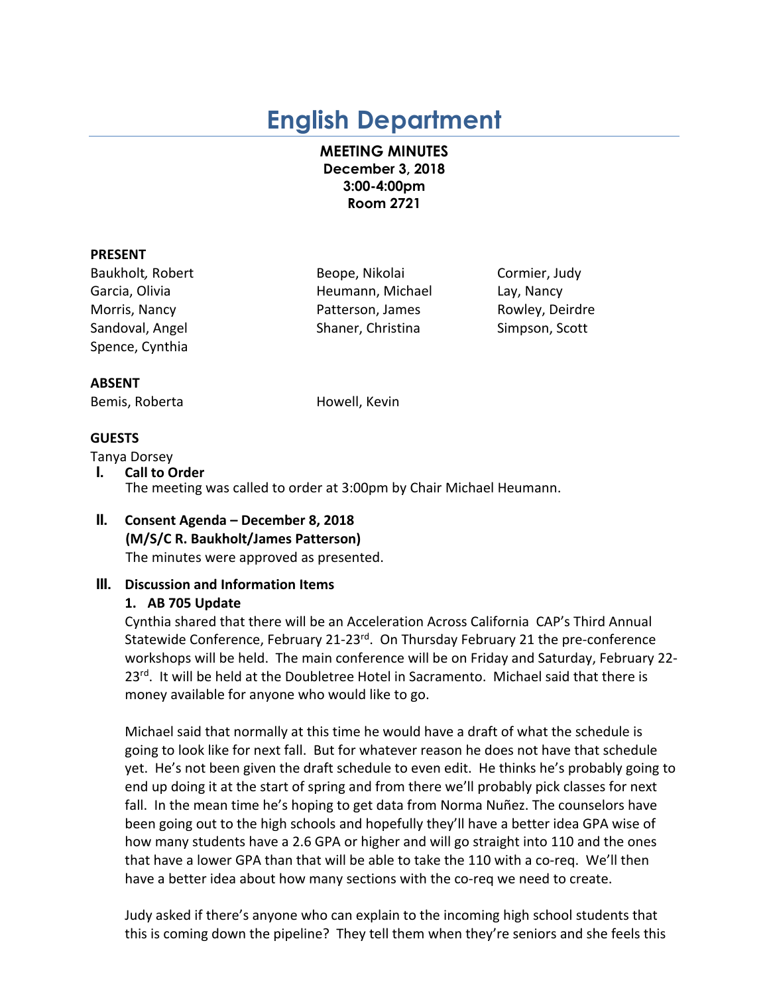# **English Department**

**MEETING MINUTES December 3, 2018 3:00-4:00pm Room 2721**

#### **PRESENT**

Baukholt*,* Robert Beope, Nikolai Cormier, Judy Spence, Cynthia

Garcia, Olivia Heumann, Michael Lay, Nancy Morris, Nancy **Nancy Patterson, James** Rowley, Deirdre Sandoval, Angel Shaner, Christina Simpson, Scott

#### **ABSENT**

Bemis, Roberta **Howell**, Kevin

## **GUESTS**

- Tanya Dorsey **I. Call to Order** The meeting was called to order at 3:00pm by Chair Michael Heumann.
- **II. Consent Agenda – December 8, 2018 (M/S/C R. Baukholt/James Patterson)** The minutes were approved as presented.

## **III. Discussion and Information Items**

#### **1. AB 705 Update**

Cynthia shared that there will be an Acceleration Across California CAP's Third Annual Statewide Conference, February 21-23<sup>rd</sup>. On Thursday February 21 the pre-conference workshops will be held. The main conference will be on Friday and Saturday, February 22- 23<sup>rd</sup>. It will be held at the Doubletree Hotel in Sacramento. Michael said that there is money available for anyone who would like to go.

Michael said that normally at this time he would have a draft of what the schedule is going to look like for next fall. But for whatever reason he does not have that schedule yet. He's not been given the draft schedule to even edit. He thinks he's probably going to end up doing it at the start of spring and from there we'll probably pick classes for next fall. In the mean time he's hoping to get data from Norma Nuñez. The counselors have been going out to the high schools and hopefully they'll have a better idea GPA wise of how many students have a 2.6 GPA or higher and will go straight into 110 and the ones that have a lower GPA than that will be able to take the 110 with a co-req. We'll then have a better idea about how many sections with the co-req we need to create.

Judy asked if there's anyone who can explain to the incoming high school students that this is coming down the pipeline? They tell them when they're seniors and she feels this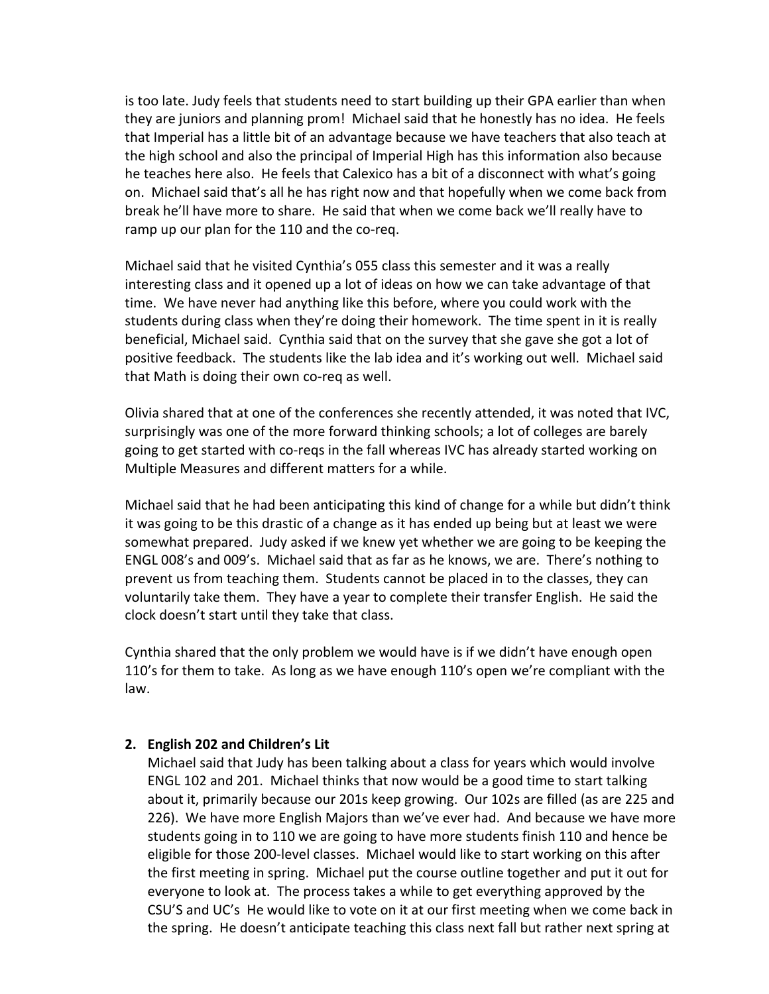is too late. Judy feels that students need to start building up their GPA earlier than when they are juniors and planning prom! Michael said that he honestly has no idea. He feels that Imperial has a little bit of an advantage because we have teachers that also teach at the high school and also the principal of Imperial High has this information also because he teaches here also. He feels that Calexico has a bit of a disconnect with what's going on. Michael said that's all he has right now and that hopefully when we come back from break he'll have more to share. He said that when we come back we'll really have to ramp up our plan for the 110 and the co-req.

Michael said that he visited Cynthia's 055 class this semester and it was a really interesting class and it opened up a lot of ideas on how we can take advantage of that time. We have never had anything like this before, where you could work with the students during class when they're doing their homework. The time spent in it is really beneficial, Michael said. Cynthia said that on the survey that she gave she got a lot of positive feedback. The students like the lab idea and it's working out well. Michael said that Math is doing their own co-req as well.

Olivia shared that at one of the conferences she recently attended, it was noted that IVC, surprisingly was one of the more forward thinking schools; a lot of colleges are barely going to get started with co-reqs in the fall whereas IVC has already started working on Multiple Measures and different matters for a while.

Michael said that he had been anticipating this kind of change for a while but didn't think it was going to be this drastic of a change as it has ended up being but at least we were somewhat prepared. Judy asked if we knew yet whether we are going to be keeping the ENGL 008's and 009's. Michael said that as far as he knows, we are. There's nothing to prevent us from teaching them. Students cannot be placed in to the classes, they can voluntarily take them. They have a year to complete their transfer English. He said the clock doesn't start until they take that class.

Cynthia shared that the only problem we would have is if we didn't have enough open 110's for them to take. As long as we have enough 110's open we're compliant with the law.

## **2. English 202 and Children's Lit**

Michael said that Judy has been talking about a class for years which would involve ENGL 102 and 201. Michael thinks that now would be a good time to start talking about it, primarily because our 201s keep growing. Our 102s are filled (as are 225 and 226). We have more English Majors than we've ever had. And because we have more students going in to 110 we are going to have more students finish 110 and hence be eligible for those 200-level classes. Michael would like to start working on this after the first meeting in spring. Michael put the course outline together and put it out for everyone to look at. The process takes a while to get everything approved by the CSU'S and UC's He would like to vote on it at our first meeting when we come back in the spring. He doesn't anticipate teaching this class next fall but rather next spring at